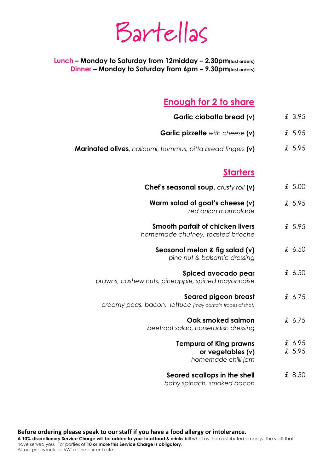Bartellas

**Lunch – Monday to Saturday from 12midday – 2.30pm(last orders) Dinner – Monday to Saturday from 6pm – 9.30pm(last orders)**

### **Enough for 2 to share**

- **Garlic ciabatta bread (v)**  £ 3.95
- **Garlic pizzette** *with cheese* **(v)** £ 5.95
- **Marinated olives**, *halloumi, hummus, pitta bread fingers* **(v)** £ 5.95

#### **Starters**

- **Chef's seasonal soup,** *crusty roll* **(v)**  £ 5.00
	- **Warm salad of goat's cheese (v)**  *red onion marmalade*  £ 5.95
- **Smooth parfait of chicken livers**  *homemade chutney, toasted brioche*  £ 5.95
	- **Seasonal melon & fig salad (v)**  *pine nut & balsamic dressing*  £ 6.50
- **Spiced avocado pear**  *prawns, cashew nuts, pineapple, spiced mayonnaise*  £ 6.50
	- **Seared pigeon breast**  *creamy peas, bacon, lettuce (may contain traces of shot)* £ 6.75
		- **Oak smoked salmon**  *beetroot salad, horseradish dressing*  £ 6.75
			- **Tempura of King prawns or vegetables (v)**  £ 6.95 £ 5.95

*homemade chilli jam* 

**Seared scallops in the shell**  *baby spinach, smoked bacon*  £ 8.50

**Before ordering please speak to our staff if you have a food allergy or intolerance.**

**A 10% discretionary Service Charge will be added to your total food & drinks bill** which is then distributed amongst the staff that have served you. For parties of **10 or more this Service Charge is obligatory**.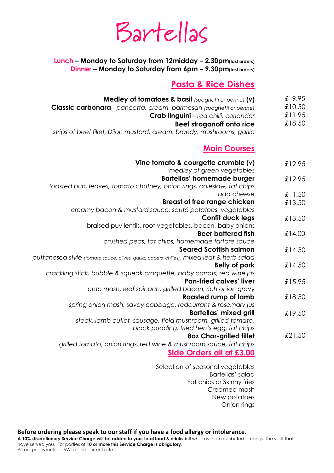# Bartellas

**Lunch – Monday to Saturday from 12midday – 2.30pm(last orders) Dinner – Monday to Saturday from 6pm – 9.30pm(last orders)**

### **Pasta & Rice Dishes**

Onion rings

| £9.95<br>Medley of tomatoes & basil (spaghetti or penne) (v)                                              |  |
|-----------------------------------------------------------------------------------------------------------|--|
| £10.50<br>Classic carbonara - pancetta, cream, parmesan (spaghetti or penne)                              |  |
| £11.95<br>Crab linguini-red chilli, coriander                                                             |  |
| £18.50<br>Beef stroganoff onto rice                                                                       |  |
| strips of beef fillet, Dijon mustard, cream, brandy, mushrooms, garlic                                    |  |
| <b>Main Courses</b>                                                                                       |  |
| Vine tomato & courgette crumble (v)<br>£12.95                                                             |  |
| medley of green vegetables                                                                                |  |
| <b>Bartellas' homemade burger</b><br>£12.95                                                               |  |
| toasted bun, leaves, tomato chutney, onion rings, coleslaw, fat chips                                     |  |
| add cheese<br>£ 1.50                                                                                      |  |
| <b>Breast of free range chicken</b><br>£13.50<br>creamy bacon & mustard sauce, sauté potatoes, vegetables |  |
| <b>Confit duck legs</b>                                                                                   |  |
| £13.50<br>braised puy lentils, root vegetables, bacon, baby onions                                        |  |
| <b>Beer battered fish</b><br>£14.00                                                                       |  |
| crushed peas, fat chips, homemade tartare sauce                                                           |  |
| <b>Seared Scottish salmon</b><br>£14.50                                                                   |  |
| puttanesca style (tomato sauce, olives, garlic, capers, chilies), mixed leaf & herb salad                 |  |
| £14.50<br><b>Belly of pork</b>                                                                            |  |
| crackling stick, bubble & squeak croquette, baby carrots, red wine jus                                    |  |
| <b>Pan-fried calves' liver</b><br>£15.95                                                                  |  |
| onto mash, leaf spinach, grilled bacon, rich onion gravy                                                  |  |
| <b>Roasted rump of lamb</b><br>£18.50                                                                     |  |
| spring onion mash, savoy cabbage, redcurrant & rosemary jus                                               |  |
| <b>Bartellas' mixed grill</b><br>£19.50                                                                   |  |
| steak, lamb cutlet, sausage, field mushroom, grilled tomato,                                              |  |
| black pudding, fried hen's egg, fat chips                                                                 |  |
| £21.50<br><b>8oz Char-grilled fillet</b>                                                                  |  |
| grilled tomato, onion rings, red wine & mushroom sauce, fat chips                                         |  |
| Side Orders all at £3.00                                                                                  |  |
| Selection of seasonal vegetables                                                                          |  |
| Bartellas' salad                                                                                          |  |
| Fat chips or Skinny fries                                                                                 |  |
| Creamed mash                                                                                              |  |
| New potatoes                                                                                              |  |

**Before ordering please speak to our staff if you have a food allergy or intolerance.**

**A 10% discretionary Service Charge will be added to your total food & drinks bill** which is then distributed amongst the staff that have served you. For parties of **10 or more this Service Charge is obligatory**. All our prices include VAT at the current rate.